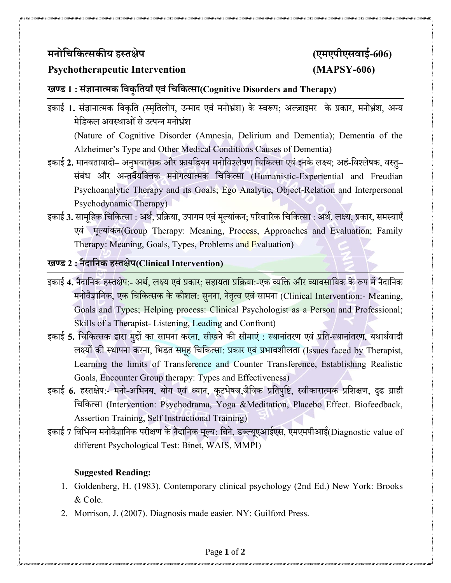# **मनोचिचित्सिीयहस्तक्षेप (एमएपीएसवाई-606)**

# **Psychotherapeutic Intervention (MAPSY-606)**

### **खण्ड 1 : संज्ञानात्मि चविृचतयााँएवंचिचित्सा(Cognitive Disorders and Therapy)**

इकाई 1. संज्ञानात्मक विकृति (स्मृतिलोप, उन्माद एवं मनोभ्रंश) के स्वरूप; अल्ज़ाइमर के प्रकार, मनोभ्रंश, अन्य मेडिकल अवस्थाओं से उत्पन्न मनोभ्रंश

(Nature of Cognitive Disorder (Amnesia, Delirium and Dementia); Dementia of the Alzheimer's Type and Other Medical Conditions Causes of Dementia)

- इकाई 2. मानवतावादी– अनभवात्मक और फ्रायडियन मनोविश्लेषण चिकित्सा एवं इनके लक्ष्य; अहं-विश्लेषक, वस्त– संबंध और अन्तर्वैयक्तिक मनोगत्यात्मक चिकित्सा (Humanistic-Experiential and Freudian Psychoanalytic Therapy and its Goals; Ego Analytic, Object-Relation and Interpersonal Psychodynamic Therapy)
- इकाई 3. सामूहिक चिकित्सा : अर्थ, प्रक्रिया, उपागम एवं मूल्यांकन; परिवारिक चिकित्सा : अर्थ, लक्ष्य, प्रकार, समस्याएँ एवं मुल्यांकन(Group Therapy: Meaning, Process, Approaches and Evaluation; Family Therapy: Meaning, Goals, Types, Problems and Evaluation)

# **खण्ड 2 : नैदाचनिहस्तक्षेप(Clinical Intervention)**

- इकाई 4. नैदानिक हस्तक्षे<mark>प:- अ</mark>र्थ, लक्ष्य एवं प्रकार; सहायता प्रक्रिया:-एक व्यक्ति और व्यावसायिक के रूप में नैदानिक मनोवैज्ञानिक, ए<mark>क चिकित्सक के कौशल: सनना, नेतृत्व एवं सामना (Clinical Intervention:- Meaning,</mark> Goals and Types; Helping process: Clinical Psychologist as a Person and Professional; Skills of a Therapist- Listening, Leading and Confront)
- इकाई 5. चिकित्सक द्वारा मुद्दों का सामना करना, सीखने की सीमाएं : स्थानांतरण एवं प्रति-स्थानांतरण, यथार्थवादी लक्ष्यों की स्थापना करना, भिड़त समृह चिकित्सा: प्रकार एवं प्रभावशीलता (Issues faced by Therapist, Learning the limits of Transference and Counter Transference, Establishing Realistic Goals, Encounter Group therapy: Types and Effectiveness)
- इकाई 6. हस्तक्षेप:- मनो-अभिनय, योग एवं ध्यान, कूटभेषज,जैविक प्रतिपुष्टि, स्वीकारात्मक प्रशिक्षण, दृढ ग्राही विवकत्सा (Intervention: Psychodrama, Yoga &Meditation, Placebo Effect. Biofeedback, Assertion Training, Self Instructional Training)
- इकाई 7 विभिन्न मनोवैज्ञानिक परीक्षण के नैदानिक मूल्य: बिने, डब्ल्यूएआईएस, एमएमपीआई(Diagnostic value of different Psychological Test: Binet, WAIS, MMPI)

#### **Suggested Reading:**

- 1. Goldenberg, H. (1983). Contemporary clinical psychology (2nd Ed.) New York: Brooks & Cole.
- 2. Morrison, J. (2007). Diagnosis made easier. NY: Guilford Press.

#### Page **1** of **2**